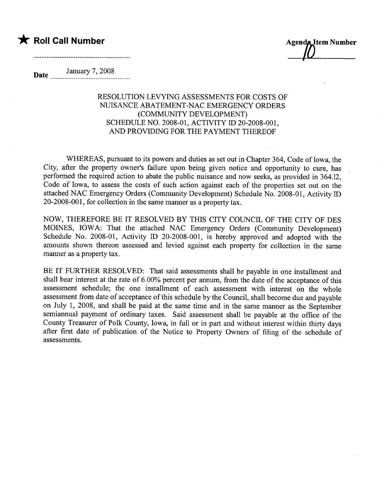## \* Roll Call Number Agenda Item Number

Date January 7, 2008

## RESOLUTION LEVYING ASSESSMENTS FOR COSTS OF NUISANCE ABATEMENT-NAC EMERGENCY ORDERS (COMMUNITY DEVELOPMENT) SCHEDULE NO. 2008-01, ACTNITY ID 20-2008-001, AND PROVIDING FOR THE PAYMENT THEREOF

WHEREAS, pursuant to its powers and duties as set out in Chapter 364, Code of Iowa, the City, after the property owner's failure upon being given notice and opportunity to cure, has performed the required action to abate the public nuisance and now seeks, as provided in 364.12, Code of Iowa, to assess the costs of such action against each of the properties set out on the attached NAC Emergency Orders (Community Development) Schedule No. 2008-01, Activity ID 20-2008-001, for collection in the same maner as a property tax.

NOW, THEREFORE BE IT RESOLVED BY THIS CITY COUNCIL OF THE CITY OF DES MOINES, IOWA: That the attached NAC Emergency Orders (Community Development) Schedule No. 2008-01, Activity ID 20-2008-001, is hereby approved and adopted with the amounts shown thereon assessed and levied against each property for collection in the same manner as a property tax.

BE IT FURTHER RESOLVED: That said assessments shall be payable in one installment and shall bear interest at the rate of 6.00% percent per annum, from the date of the acceptance of this assessment schedule; the one installment of each assessment with interest on the whole assessment from date of acceptance of this schedule by the Council, shall become due and payable on July 1, 2008, and shall be paid at the same time and in the same maner as the September semiannual payment of ordinary taxes. Said assessment shall be payable at the office of the County Treasurer of Polk County, Iowa, in full or in part and without interest within thirty days after first date of publication of the Notice to Property Owners of filing of the schedule of assessments.